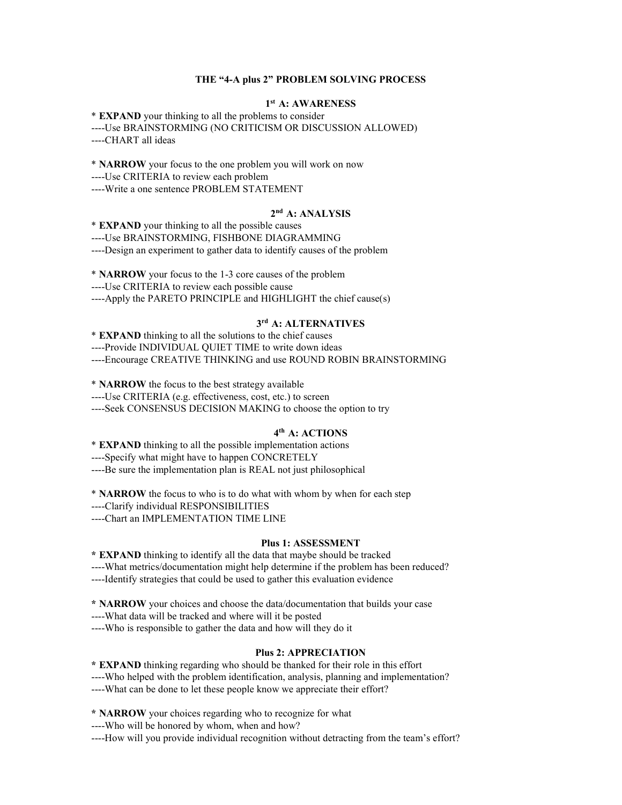#### **THE "4-A plus 2" PROBLEM SOLVING PROCESS**

### **1st A: AWARENESS**

\* **EXPAND** your thinking to all the problems to consider ----Use BRAINSTORMING (NO CRITICISM OR DISCUSSION ALLOWED) ----CHART all ideas

\* **NARROW** your focus to the one problem you will work on now ----Use CRITERIA to review each problem ----Write a one sentence PROBLEM STATEMENT

### **2nd A: ANALYSIS**

\* **EXPAND** your thinking to all the possible causes ----Use BRAINSTORMING, FISHBONE DIAGRAMMING ----Design an experiment to gather data to identify causes of the problem

\* **NARROW** your focus to the 1-3 core causes of the problem ----Use CRITERIA to review each possible cause ----Apply the PARETO PRINCIPLE and HIGHLIGHT the chief cause(s)

### **3rd A: ALTERNATIVES**

\* **EXPAND** thinking to all the solutions to the chief causes ----Provide INDIVIDUAL QUIET TIME to write down ideas ----Encourage CREATIVE THINKING and use ROUND ROBIN BRAINSTORMING

\* **NARROW** the focus to the best strategy available

----Use CRITERIA (e.g. effectiveness, cost, etc.) to screen

----Seek CONSENSUS DECISION MAKING to choose the option to try

### **4th A: ACTIONS**

\* **EXPAND** thinking to all the possible implementation actions ----Specify what might have to happen CONCRETELY ----Be sure the implementation plan is REAL not just philosophical

\* **NARROW** the focus to who is to do what with whom by when for each step

----Clarify individual RESPONSIBILITIES

----Chart an IMPLEMENTATION TIME LINE

#### **Plus 1: ASSESSMENT**

**\* EXPAND** thinking to identify all the data that maybe should be tracked ----What metrics/documentation might help determine if the problem has been reduced? ----Identify strategies that could be used to gather this evaluation evidence

**\* NARROW** your choices and choose the data/documentation that builds your case

----What data will be tracked and where will it be posted

----Who is responsible to gather the data and how will they do it

#### **Plus 2: APPRECIATION**

**\* EXPAND** thinking regarding who should be thanked for their role in this effort ----Who helped with the problem identification, analysis, planning and implementation? ----What can be done to let these people know we appreciate their effort?

**\* NARROW** your choices regarding who to recognize for what

----Who will be honored by whom, when and how?

----How will you provide individual recognition without detracting from the team's effort?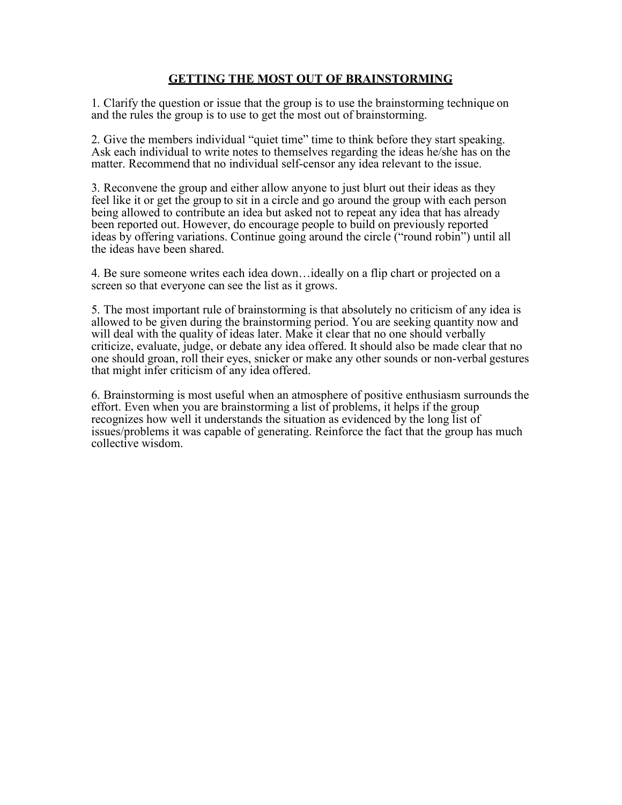## **GETTING THE MOST OUT OF BRAINSTORMING**

1. Clarify the question or issue that the group is to use the brainstorming technique on and the rules the group is to use to get the most out of brainstorming.

2. Give the members individual "quiet time" time to think before they start speaking. Ask each individual to write notes to themselves regarding the ideas he/she has on the matter. Recommend that no individual self-censor any idea relevant to the issue.

3. Reconvene the group and either allow anyone to just blurt out their ideas as they feel like it or get the group to sit in a circle and go around the group with each person being allowed to contribute an idea but asked not to repeat any idea that has already been reported out. However, do encourage people to build on previously reported ideas by offering variations. Continue going around the circle ("round robin") until all the ideas have been shared.

4. Be sure someone writes each idea down…ideally on a flip chart or projected on a screen so that everyone can see the list as it grows.

5. The most important rule of brainstorming is that absolutely no criticism of any idea is allowed to be given during the brainstorming period. You are seeking quantity now and will deal with the quality of ideas later. Make it clear that no one should verbally criticize, evaluate, judge, or debate any idea offered. It should also be made clear that no one should groan, roll their eyes, snicker or make any other sounds or non-verbal gestures that might infer criticism of any idea offered.

6. Brainstorming is most useful when an atmosphere of positive enthusiasm surrounds the effort. Even when you are brainstorming a list of problems, it helps if the group recognizes how well it understands the situation as evidenced by the long list of issues/problems it was capable of generating. Reinforce the fact that the group has much collective wisdom.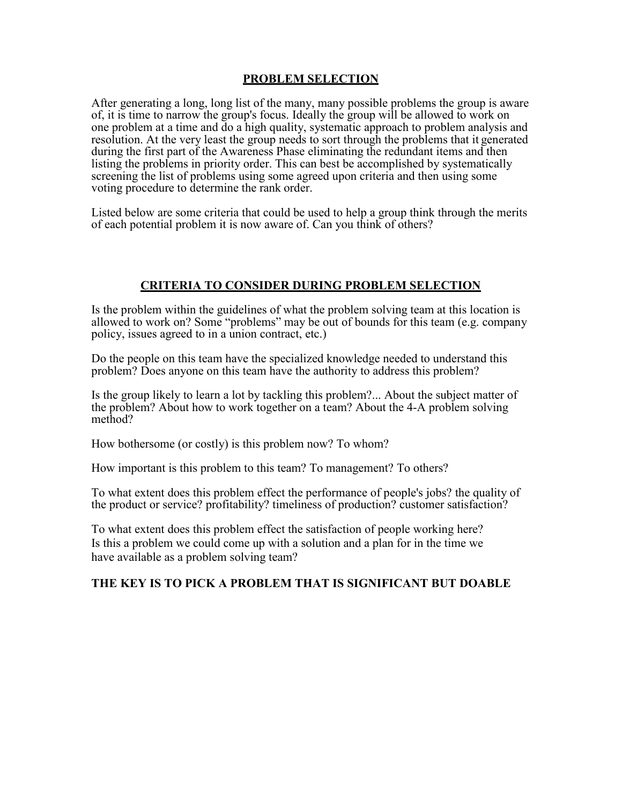## **PROBLEM SELECTION**

After generating a long, long list of the many, many possible problems the group is aware of, it is time to narrow the group's focus. Ideally the group will be allowed to work on one problem at a time and do a high quality, systematic approach to problem analysis and resolution. At the very least the group needs to sort through the problems that it generated during the first part of the Awareness Phase eliminating the redundant items and then listing the problems in priority order. This can best be accomplished by systematically screening the list of problems using some agreed upon criteria and then using some voting procedure to determine the rank order.

Listed below are some criteria that could be used to help a group think through the merits of each potential problem it is now aware of. Can you think of others?

## **CRITERIA TO CONSIDER DURING PROBLEM SELECTION**

Is the problem within the guidelines of what the problem solving team at this location is allowed to work on? Some "problems" may be out of bounds for this team (e.g. company policy, issues agreed to in a union contract, etc.)

Do the people on this team have the specialized knowledge needed to understand this problem? Does anyone on this team have the authority to address this problem?

Is the group likely to learn a lot by tackling this problem?... About the subject matter of the problem? About how to work together on a team? About the 4-A problem solving method?

How bothersome (or costly) is this problem now? To whom?

How important is this problem to this team? To management? To others?

To what extent does this problem effect the performance of people's jobs? the quality of the product or service? profitability? timeliness of production? customer satisfaction?

To what extent does this problem effect the satisfaction of people working here? Is this a problem we could come up with a solution and a plan for in the time we have available as a problem solving team?

## **THE KEY IS TO PICK A PROBLEM THAT IS SIGNIFICANT BUT DOABLE**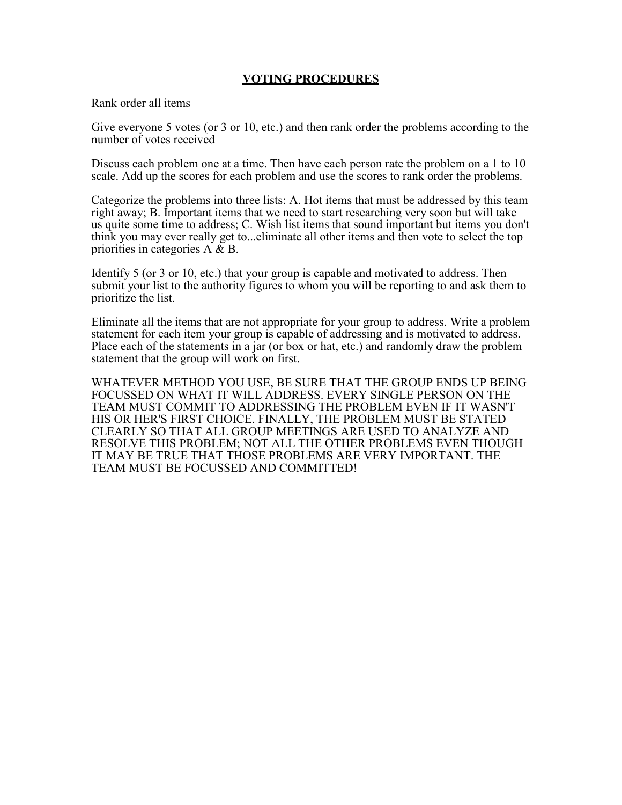## **VOTING PROCEDURES**

Rank order all items

Give everyone 5 votes (or 3 or 10, etc.) and then rank order the problems according to the number of votes received

Discuss each problem one at a time. Then have each person rate the problem on a 1 to 10 scale. Add up the scores for each problem and use the scores to rank order the problems.

Categorize the problems into three lists: A. Hot items that must be addressed by this team right away; B. Important items that we need to start researching very soon but will take us quite some time to address; C. Wish list items that sound important but items you don't think you may ever really get to...eliminate all other items and then vote to select the top priorities in categories A & B.

Identify 5 (or 3 or 10, etc.) that your group is capable and motivated to address. Then submit your list to the authority figures to whom you will be reporting to and ask them to prioritize the list.

Eliminate all the items that are not appropriate for your group to address. Write a problem statement for each item your group is capable of addressing and is motivated to address. Place each of the statements in a jar (or box or hat, etc.) and randomly draw the problem statement that the group will work on first.

WHATEVER METHOD YOU USE, BE SURE THAT THE GROUP ENDS UP BEING FOCUSSED ON WHAT IT WILL ADDRESS. EVERY SINGLE PERSON ON THE TEAM MUST COMMIT TO ADDRESSING THE PROBLEM EVEN IF IT WASN'T HIS OR HER'S FIRST CHOICE. FINALLY, THE PROBLEM MUST BE STATED CLEARLY SO THAT ALL GROUP MEETINGS ARE USED TO ANALYZE AND RESOLVE THIS PROBLEM; NOT ALL THE OTHER PROBLEMS EVEN THOUGH IT MAY BE TRUE THAT THOSE PROBLEMS ARE VERY IMPORTANT. THE TEAM MUST BE FOCUSSED AND COMMITTED!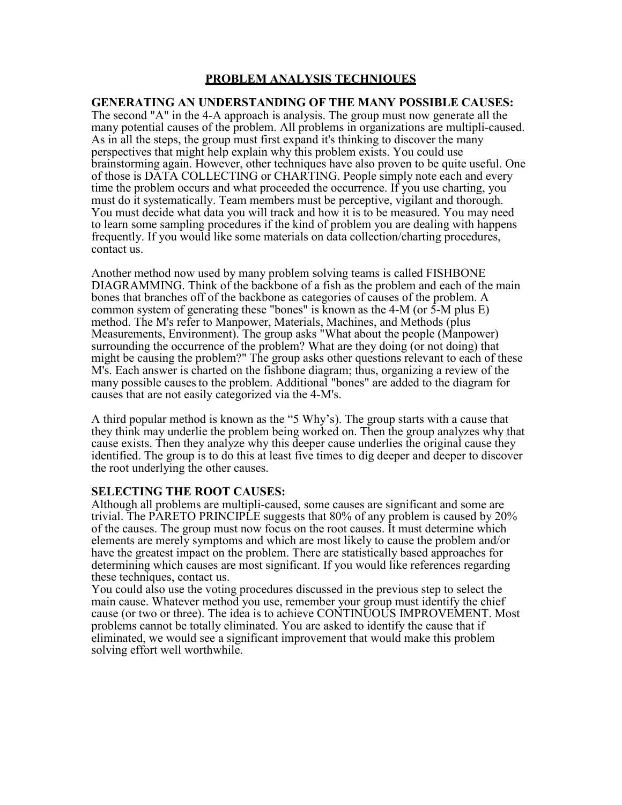# **PROBLEM ANALYSIS TECHNIQUES**

### **GENERATING AN UNDERSTANDING OF THE MANY POSSIBLE CAUSES:**

The second "A" in the 4-A approach is analysis. The group must now generate all the many potential causes of the problem. All problems in organizations are multipli-caused. As in all the steps, the group must first expand it's thinking to discover the many perspectives that might help explain why this problem exists. You could use brainstorming again. However, other techniques have also proven to be quite useful. One of those is DATA COLLECTING or CHARTING. People simply note each and every time the problem occurs and what proceeded the occurrence. If you use charting, you must do it systematically. Team members must be perceptive, vigilant and thorough. You must decide what data you will track and how it is to be measured. You may need to learn some sampling procedures if the kind of problem you are dealing with happens frequently. If you would like some materials on data collection/charting procedures, contact us.

Another method now used by many problem solving teams is called FISHBONE DIAGRAMMING. Think of the backbone of a fish as the problem and each of the main bones that branches off of the backbone as categories of causes of the problem. A common system of generating these "bones" is known as the 4-M (or 5-M plus E) method. The M's refer to Manpower, Materials, Machines, and Methods (plus Measurements, Environment). The group asks "What about the people (Manpower) surrounding the occurrence of the problem? What are they doing (or not doing) that might be causing the problem?" The group asks other questions relevant to each of these M's. Each answer is charted on the fishbone diagram; thus, organizing a review of the many possible causesto the problem. Additional "bones" are added to the diagram for causes that are not easily categorized via the 4-M's.

A third popular method is known as the "5 Why's). The group starts with a cause that they think may underlie the problem being worked on. Then the group analyzes why that cause exists. Then they analyze why this deeper cause underlies the original cause they identified. The group is to do this at least five times to dig deeper and deeper to discover the root underlying the other causes.

### **SELECTING THE ROOT CAUSES:**

Although all problems are multipli-caused, some causes are significant and some are trivial. The PARETO PRINCIPLE suggests that 80% of any problem is caused by 20% of the causes. The group must now focus on the root causes. It must determine which elements are merely symptoms and which are most likely to cause the problem and/or have the greatest impact on the problem. There are statistically based approaches for determining which causes are most significant. If you would like references regarding

these techniques, contact us.<br>You could also use the voting procedures discussed in the previous step to select the main cause. Whatever method you use, remember your group must identify the chief cause (or two or three). The idea is to achieve CONTINUOUS IMPROVEMENT. Most problems cannot be totally eliminated. You are asked to identify the cause that if eliminated, we would see a significant improvement that would make this problem solving effort well worthwhile.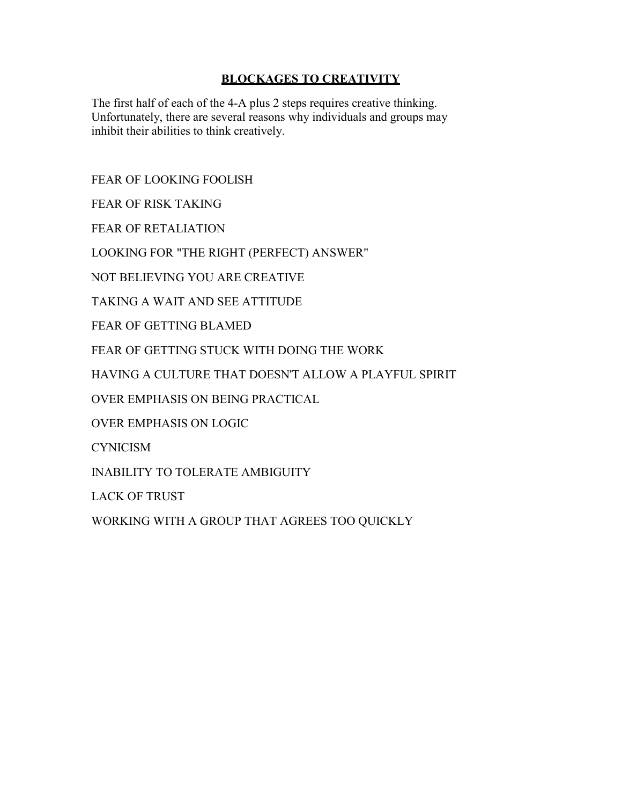# **BLOCKAGES TO CREATIVITY**

The first half of each of the 4-A plus 2 steps requires creative thinking. Unfortunately, there are several reasons why individuals and groups may inhibit their abilities to think creatively.

FEAR OF LOOKING FOOLISH

FEAR OF RISK TAKING

FEAR OF RETALIATION

LOOKING FOR "THE RIGHT (PERFECT) ANSWER"

NOT BELIEVING YOU ARE CREATIVE

TAKING A WAIT AND SEE ATTITUDE

FEAR OF GETTING BLAMED

FEAR OF GETTING STUCK WITH DOING THE WORK

HAVING A CULTURE THAT DOESN'T ALLOW A PLAYFUL SPIRIT

OVER EMPHASIS ON BEING PRACTICAL

OVER EMPHASIS ON LOGIC

**CYNICISM** 

INABILITY TO TOLERATE AMBIGUITY

LACK OF TRUST

WORKING WITH A GROUP THAT AGREES TOO QUICKLY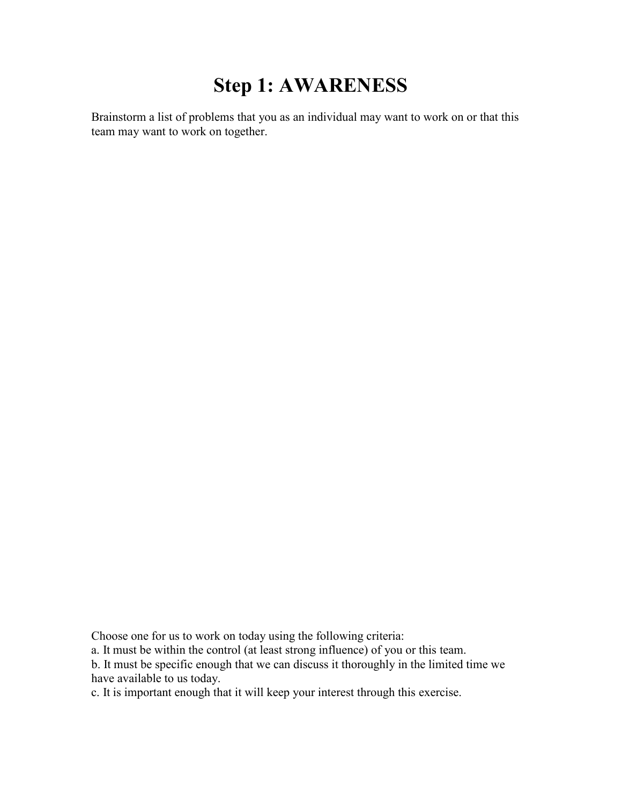# **Step 1: AWARENESS**

Brainstorm a list of problems that you as an individual may want to work on or that this team may want to work on together.

Choose one for us to work on today using the following criteria:

a. It must be within the control (at least strong influence) of you or this team.

b. It must be specific enough that we can discuss it thoroughly in the limited time we have available to us today.

c. It is important enough that it will keep your interest through this exercise.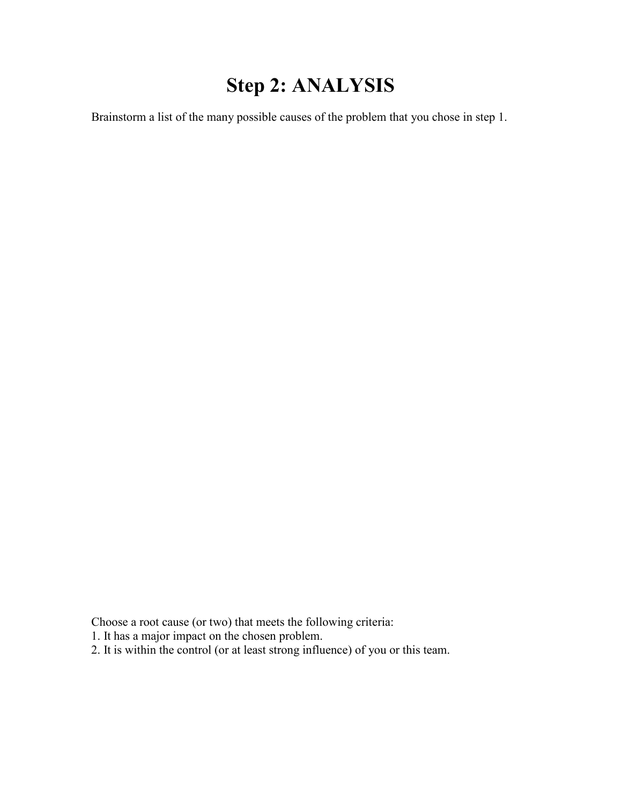# **Step 2: ANALYSIS**

Brainstorm a list of the many possible causes of the problem that you chose in step 1.

Choose a root cause (or two) that meets the following criteria:

1. It has a major impact on the chosen problem.

2. It is within the control (or at least strong influence) of you or this team.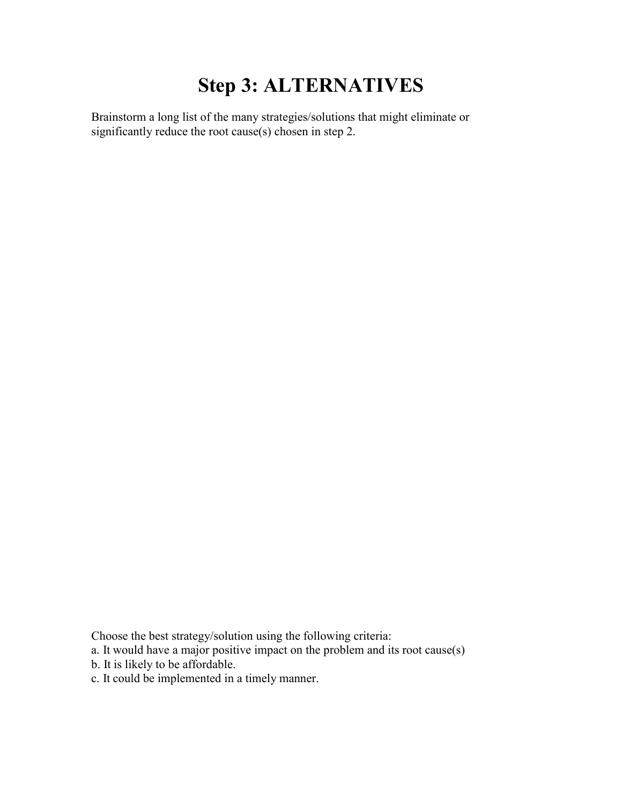# **Step 3: ALTERNATIVES**

Brainstorm a long list of the many strategies/solutions that might eliminate or significantly reduce the root cause(s) chosen in step 2.

Choose the best strategy/solution using the following criteria:

- a. It would have a major positive impact on the problem and its root cause(s)
- b. It is likely to be affordable.
- c. It could be implemented in a timely manner.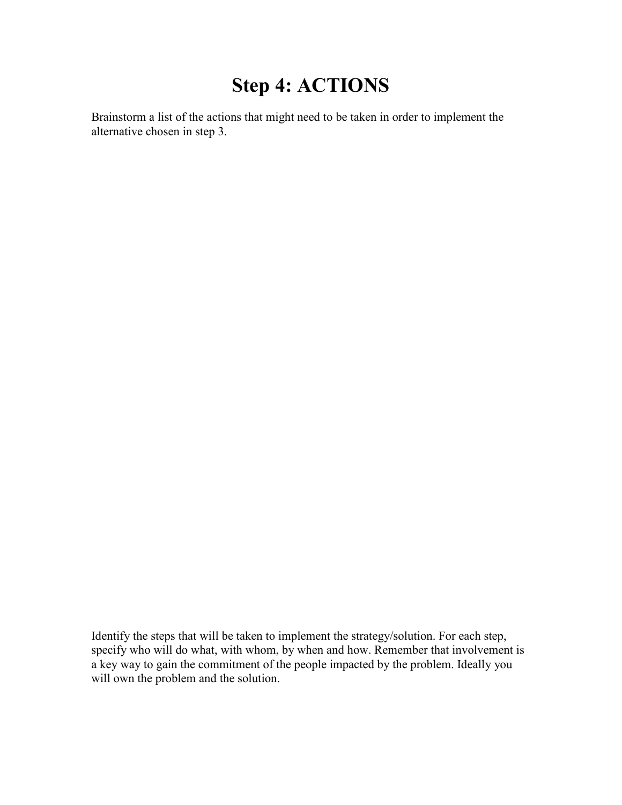# **Step 4: ACTIONS**

Brainstorm a list of the actions that might need to be taken in order to implement the alternative chosen in step 3.

Identify the steps that will be taken to implement the strategy/solution. For each step, specify who will do what, with whom, by when and how. Remember that involvement is a key way to gain the commitment of the people impacted by the problem. Ideally you will own the problem and the solution.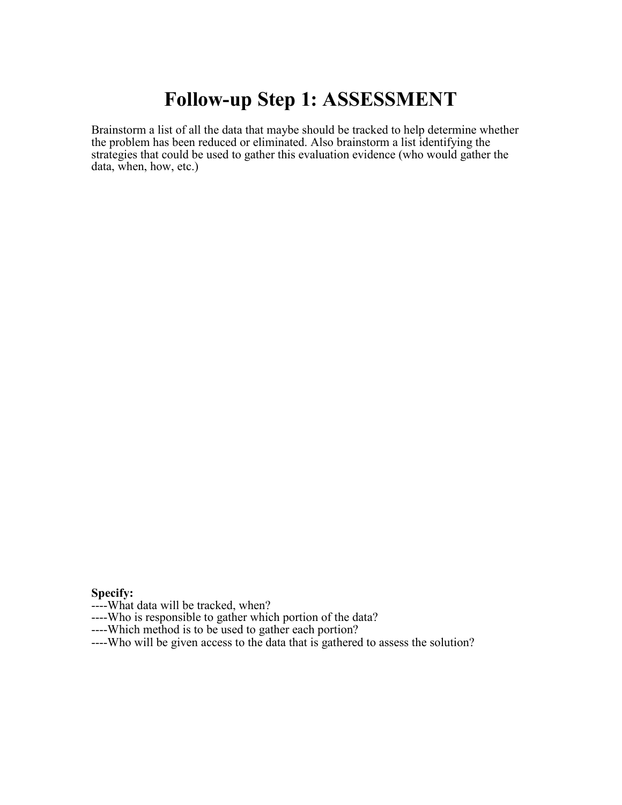# **Follow-up Step 1: ASSESSMENT**

Brainstorm a list of all the data that maybe should be tracked to help determine whether the problem has been reduced or eliminated. Also brainstorm a list identifying the strategies that could be used to gather this evaluation evidence (who would gather the data, when, how, etc.)

**Specify:**

----What data will be tracked, when?

----Who is responsible to gather which portion of the data? ----Which method is to be used to gather each portion?

----Who will be given access to the data that is gathered to assess the solution?